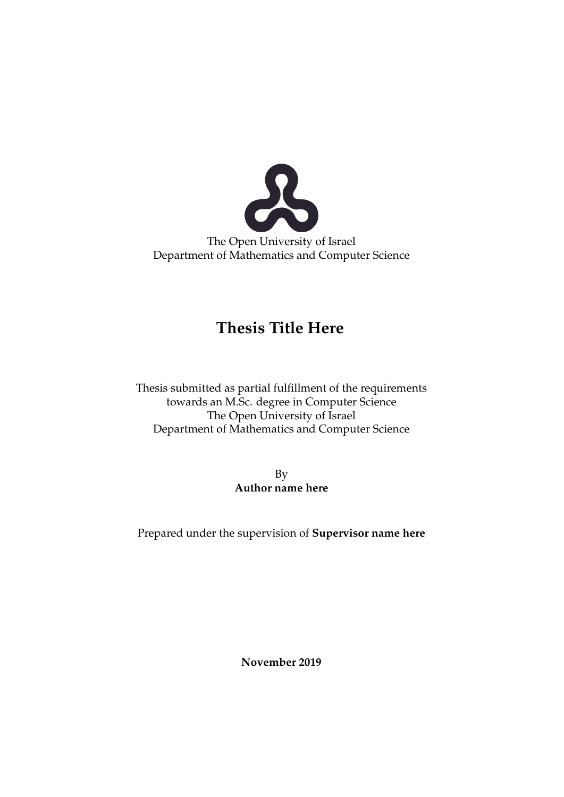

The Open University of Israel Department of Mathematics and Computer Science

#### **Thesis Title Here**

Thesis submitted as partial fulfillment of the requirements towards an M.Sc. degree in Computer Science The Open University of Israel Department of Mathematics and Computer Science

> By **Author name here**

Prepared under the supervision of **Supervisor name here**

**November 2019**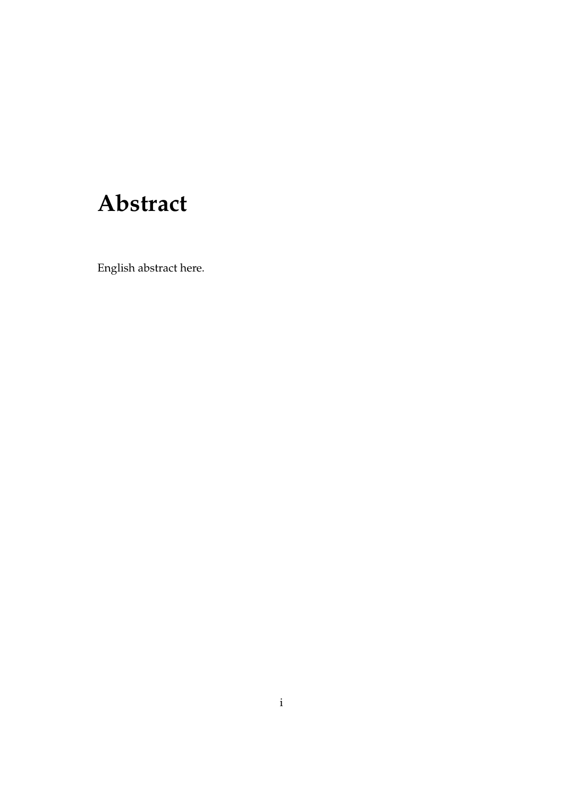### **Abstract**

English abstract here.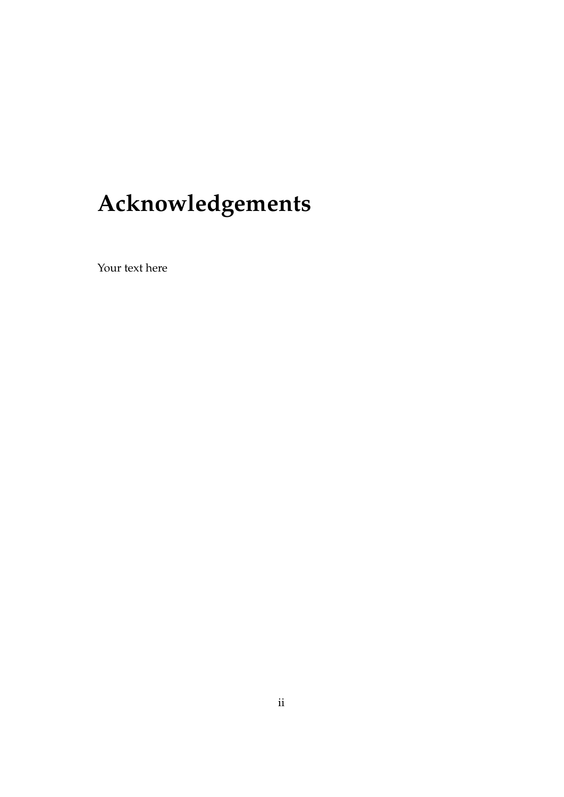# **Acknowledgements**

Your text here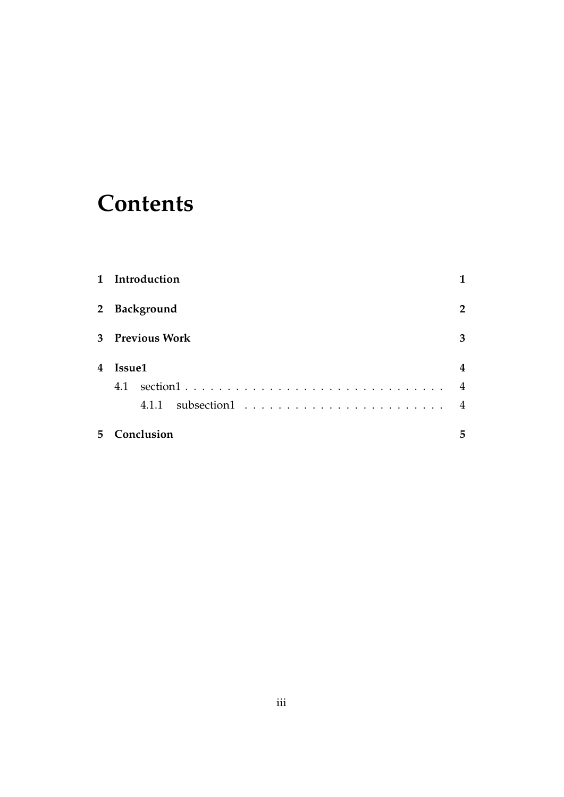### **Contents**

|   | 1 Introduction  |                |
|---|-----------------|----------------|
|   | 2 Background    | 2              |
|   | 3 Previous Work | 3              |
| 4 | Issue1          | 4              |
|   | 4.1             | $\overline{4}$ |
|   |                 | $\overline{4}$ |
| 5 | Conclusion      | 5              |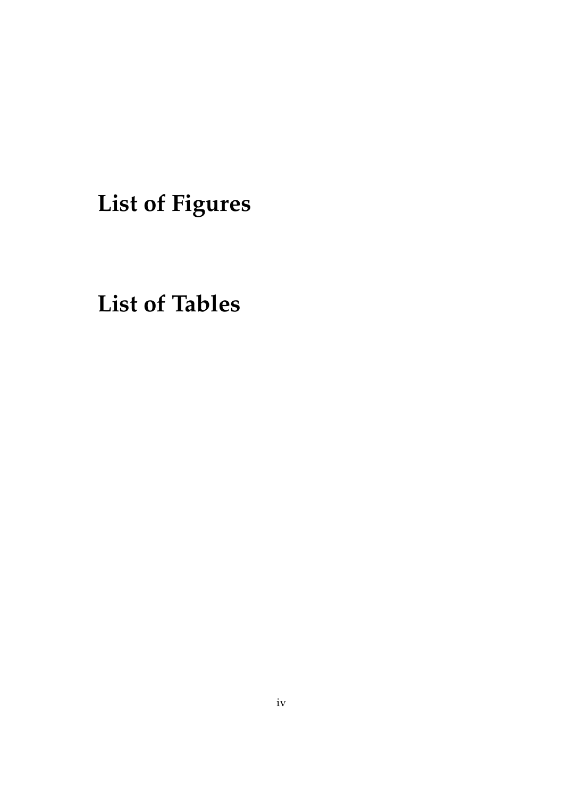**List of Figures**

**List of Tables**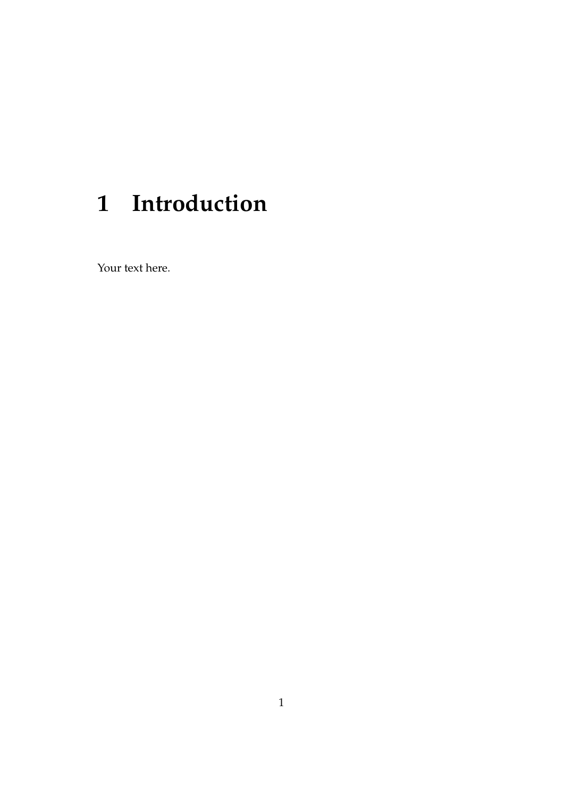## **Introduction**

Your text here.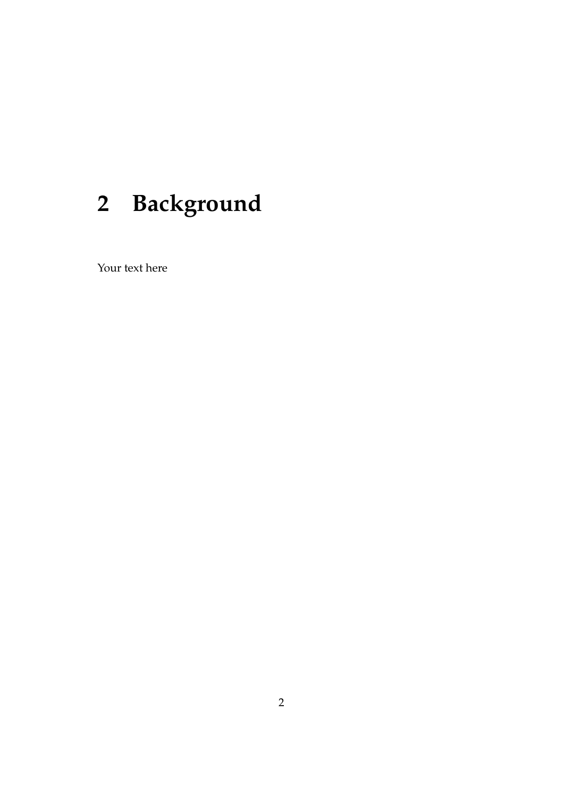# **Background**

Your text here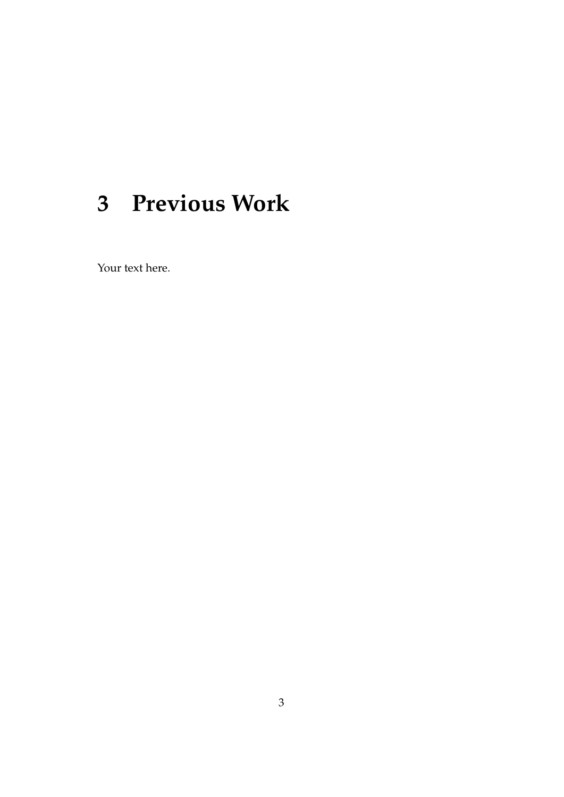## **Previous Work**

Your text here.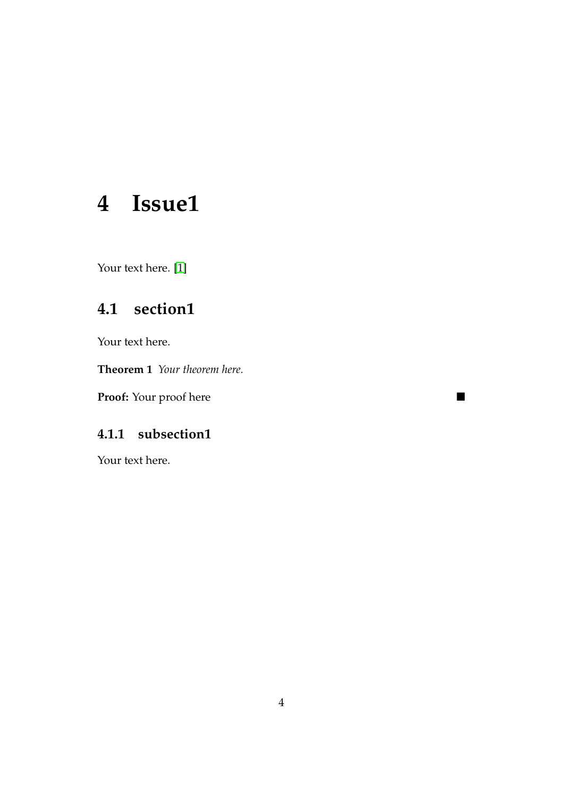### **4 Issue1**

Your text here. [\[1\]](#page-10-0)

#### **4.1 section1**

Your text here.

**Theorem 1** *Your theorem here.*

**Proof:** Your proof here ■

#### **4.1.1 subsection1**

Your text here.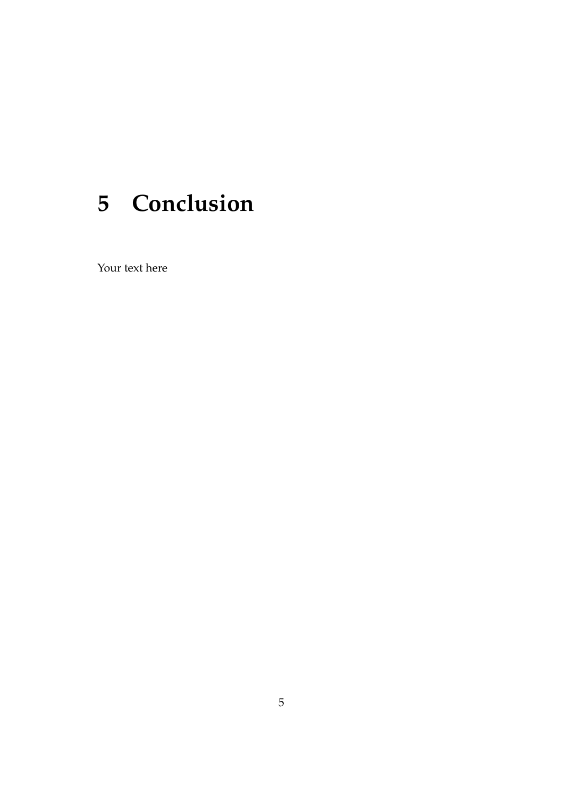## **Conclusion**

Your text here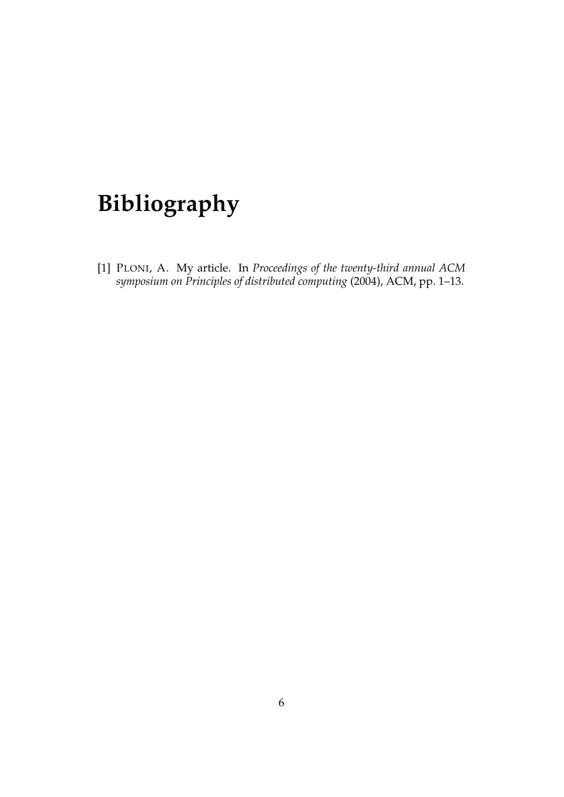## **Bibliography**

<span id="page-10-0"></span>[1] PLONI, A. My article. In *Proceedings of the twenty-third annual ACM symposium on Principles of distributed computing* (2004), ACM, pp. 1–13.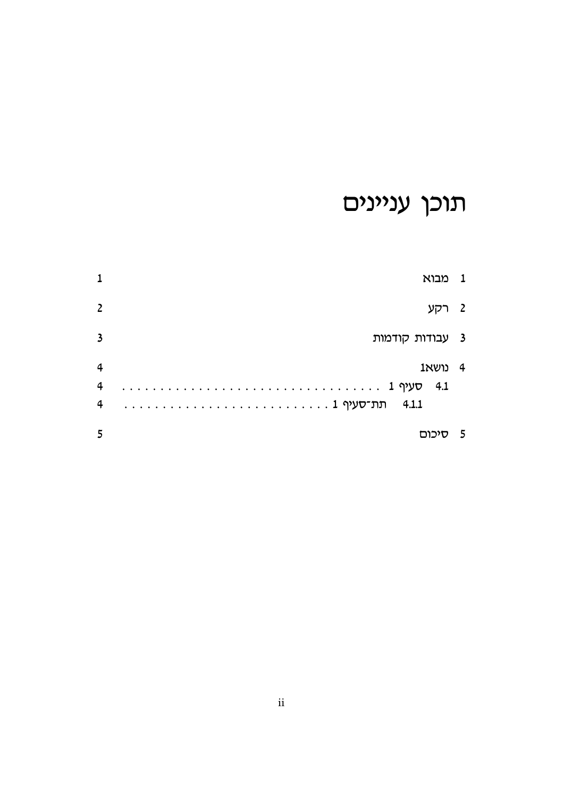# תוכן עניינים

| 1                       | 1 מבוא           |                          |
|-------------------------|------------------|--------------------------|
| $\overline{2}$          | רקע              | $\overline{\phantom{a}}$ |
| $\overline{\mathbf{3}}$ | 3 עבודות קודמות  |                          |
| $\overline{4}$<br>4     | 4 נושא<br>$-4.1$ |                          |
| 4                       |                  |                          |
| 5                       | סיכום            | - 5                      |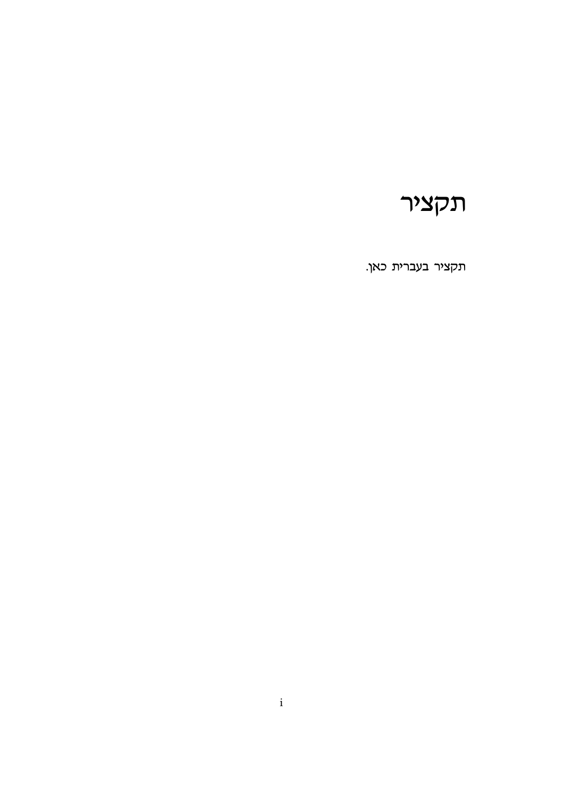### תקציר

תקציר בעברית כאן.